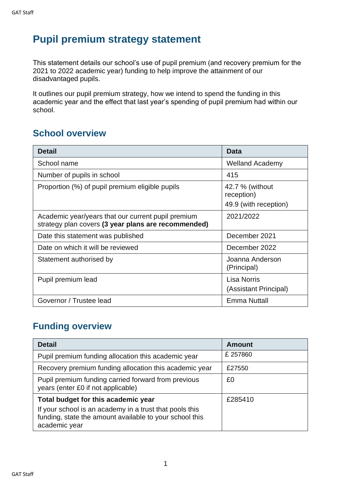## **Pupil premium strategy statement**

This statement details our school's use of pupil premium (and recovery premium for the 2021 to 2022 academic year) funding to help improve the attainment of our disadvantaged pupils.

It outlines our pupil premium strategy, how we intend to spend the funding in this academic year and the effect that last year's spending of pupil premium had within our school.

#### **School overview**

| <b>Detail</b>                                                                                             | <b>Data</b>                                            |
|-----------------------------------------------------------------------------------------------------------|--------------------------------------------------------|
| School name                                                                                               | <b>Welland Academy</b>                                 |
| Number of pupils in school                                                                                | 415                                                    |
| Proportion (%) of pupil premium eligible pupils                                                           | 42.7 % (without<br>reception)<br>49.9 (with reception) |
| Academic year/years that our current pupil premium<br>strategy plan covers (3 year plans are recommended) | 2021/2022                                              |
| Date this statement was published                                                                         | December 2021                                          |
| Date on which it will be reviewed                                                                         | December 2022                                          |
| Statement authorised by                                                                                   | Joanna Anderson<br>(Principal)                         |
| Pupil premium lead                                                                                        | <b>Lisa Norris</b><br>(Assistant Principal)            |
| Governor / Trustee lead                                                                                   | <b>Emma Nuttall</b>                                    |

### **Funding overview**

| <b>Detail</b>                                                                                                                                                              | <b>Amount</b> |
|----------------------------------------------------------------------------------------------------------------------------------------------------------------------------|---------------|
| Pupil premium funding allocation this academic year                                                                                                                        | £257860       |
| Recovery premium funding allocation this academic year                                                                                                                     | £27550        |
| Pupil premium funding carried forward from previous<br>years (enter £0 if not applicable)                                                                                  | £0            |
| Total budget for this academic year<br>If your school is an academy in a trust that pools this<br>funding, state the amount available to your school this<br>academic year | £285410       |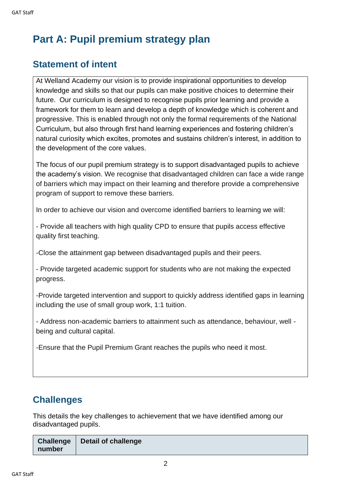# **Part A: Pupil premium strategy plan**

### **Statement of intent**

At Welland Academy our vision is to provide inspirational opportunities to develop knowledge and skills so that our pupils can make positive choices to determine their future. Our curriculum is designed to recognise pupils prior learning and provide a framework for them to learn and develop a depth of knowledge which is coherent and progressive. This is enabled through not only the formal requirements of the National Curriculum, but also through first hand learning experiences and fostering children's natural curiosity which excites, promotes and sustains children's interest, in addition to the development of the core values.

The focus of our pupil premium strategy is to support disadvantaged pupils to achieve the academy's vision. We recognise that disadvantaged children can face a wide range of barriers which may impact on their learning and therefore provide a comprehensive program of support to remove these barriers.

In order to achieve our vision and overcome identified barriers to learning we will:

- Provide all teachers with high quality CPD to ensure that pupils access effective quality first teaching.

-Close the attainment gap between disadvantaged pupils and their peers.

- Provide targeted academic support for students who are not making the expected progress.

-Provide targeted intervention and support to quickly address identified gaps in learning including the use of small group work, 1:1 tuition.

- Address non-academic barriers to attainment such as attendance, behaviour, well being and cultural capital.

-Ensure that the Pupil Premium Grant reaches the pupils who need it most.

#### **Challenges**

This details the key challenges to achievement that we have identified among our disadvantaged pupils.

|        | Challenge   Detail of challenge |
|--------|---------------------------------|
| number |                                 |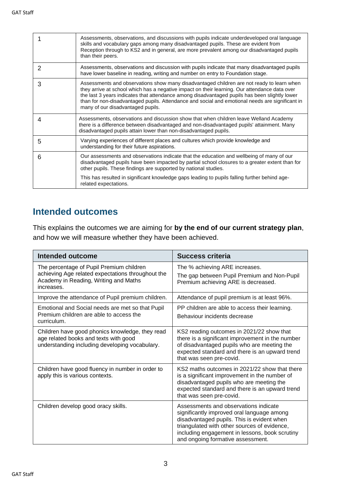|   | Assessments, observations, and discussions with pupils indicate underdeveloped oral language<br>skills and vocabulary gaps among many disadvantaged pupils. These are evident from<br>Reception through to KS2 and in general, are more prevalent among our disadvantaged pupils<br>than their peers.                                                                                                                               |
|---|-------------------------------------------------------------------------------------------------------------------------------------------------------------------------------------------------------------------------------------------------------------------------------------------------------------------------------------------------------------------------------------------------------------------------------------|
| 2 | Assessments, observations and discussion with pupils indicate that many disadvantaged pupils<br>have lower baseline in reading, writing and number on entry to Foundation stage.                                                                                                                                                                                                                                                    |
| 3 | Assessments and observations show many disadvantaged children are not ready to learn when<br>they arrive at school which has a negative impact on their learning. Our attendance data over<br>the last 3 years indicates that attendance among disadvantaged pupils has been slightly lower<br>than for non-disadvantaged pupils. Attendance and social and emotional needs are significant in<br>many of our disadvantaged pupils. |
| 4 | Assessments, observations and discussion show that when children leave Welland Academy<br>there is a difference between disadvantaged and non-disadvantaged pupils' attainment. Many<br>disadvantaged pupils attain lower than non-disadvantaged pupils.                                                                                                                                                                            |
| 5 | Varying experiences of different places and cultures which provide knowledge and<br>understanding for their future aspirations.                                                                                                                                                                                                                                                                                                     |
| 6 | Our assessments and observations indicate that the education and wellbeing of many of our<br>disadvantaged pupils have been impacted by partial school closures to a greater extent than for<br>other pupils. These findings are supported by national studies.                                                                                                                                                                     |
|   | This has resulted in significant knowledge gaps leading to pupils falling further behind age-<br>related expectations.                                                                                                                                                                                                                                                                                                              |

#### **Intended outcomes**

This explains the outcomes we are aiming for **by the end of our current strategy plan**, and how we will measure whether they have been achieved.

| Intended outcome                                                                                                                                     | <b>Success criteria</b>                                                                                                                                                                                                                                                  |
|------------------------------------------------------------------------------------------------------------------------------------------------------|--------------------------------------------------------------------------------------------------------------------------------------------------------------------------------------------------------------------------------------------------------------------------|
| The percentage of Pupil Premium children<br>achieving Age related expectations throughout the<br>Academy in Reading, Writing and Maths<br>increases. | The % achieving ARE increases.<br>The gap between Pupil Premium and Non-Pupil<br>Premium achieving ARE is decreased.                                                                                                                                                     |
| Improve the attendance of Pupil premium children.                                                                                                    | Attendance of pupil premium is at least 96%.                                                                                                                                                                                                                             |
| Emotional and Social needs are met so that Pupil<br>Premium children are able to access the<br>curriculum.                                           | PP children are able to access their learning.<br>Behaviour incidents decrease                                                                                                                                                                                           |
| Children have good phonics knowledge, they read<br>age related books and texts with good<br>understanding including developing vocabulary.           | KS2 reading outcomes in 2021/22 show that<br>there is a significant improvement in the number<br>of disadvantaged pupils who are meeting the<br>expected standard and there is an upward trend<br>that was seen pre-covid.                                               |
| Children have good fluency in number in order to<br>apply this is various contexts.                                                                  | KS2 maths outcomes in 2021/22 show that there<br>is a significant improvement in the number of<br>disadvantaged pupils who are meeting the<br>expected standard and there is an upward trend<br>that was seen pre-covid.                                                 |
| Children develop good oracy skills.                                                                                                                  | Assessments and observations indicate<br>significantly improved oral language among<br>disadvantaged pupils. This is evident when<br>triangulated with other sources of evidence,<br>including engagement in lessons, book scrutiny<br>and ongoing formative assessment. |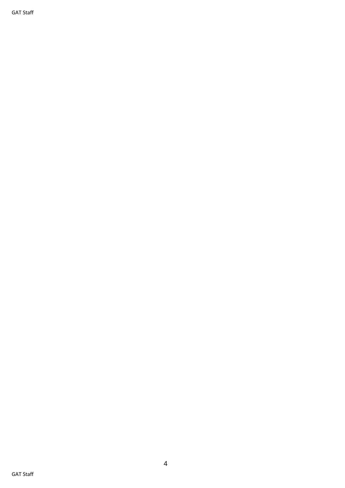GAT Staff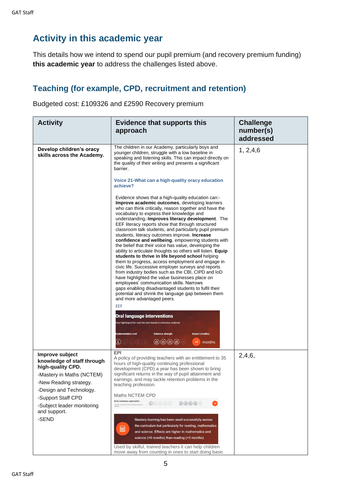## **Activity in this academic year**

This details how we intend to spend our pupil premium (and recovery premium funding) **this academic year** to address the challenges listed above.

#### **Teaching (for example, CPD, recruitment and retention)**

Budgeted cost: £109326 and £2590 Recovery premium

| <b>Activity</b>                                                                                                                                                                                                                   | <b>Evidence that supports this</b><br>approach                                                                                                                                                                                                                                                                                                                                                                                                                                                                                                                                                                                                                                                                                                                                                                                                                                                                                                                                                                                                                                                                                                                                                                                                                                                                                                                                                                                                                                                                                                                                                                                                                                                                                                                      | <b>Challenge</b><br>number(s)<br>addressed |
|-----------------------------------------------------------------------------------------------------------------------------------------------------------------------------------------------------------------------------------|---------------------------------------------------------------------------------------------------------------------------------------------------------------------------------------------------------------------------------------------------------------------------------------------------------------------------------------------------------------------------------------------------------------------------------------------------------------------------------------------------------------------------------------------------------------------------------------------------------------------------------------------------------------------------------------------------------------------------------------------------------------------------------------------------------------------------------------------------------------------------------------------------------------------------------------------------------------------------------------------------------------------------------------------------------------------------------------------------------------------------------------------------------------------------------------------------------------------------------------------------------------------------------------------------------------------------------------------------------------------------------------------------------------------------------------------------------------------------------------------------------------------------------------------------------------------------------------------------------------------------------------------------------------------------------------------------------------------------------------------------------------------|--------------------------------------------|
| Develop children's oracy<br>skills across the Academy.                                                                                                                                                                            | The children in our Academy, particularly boys and<br>younger children, struggle with a low baseline in<br>speaking and listening skills. This can impact directly on<br>the quality of their writing and presents a significant<br>barrier.<br>Voice 21-What can a high-quality oracy education<br>achieve?<br>Evidence shows that a high-quality education can:-<br>Improve academic outcomes, developing learners<br>who can think critically, reason together and have the<br>vocabulary to express their knowledge and<br>understanding.-Improves literacy development. The<br>EEF literacy reports show that through structured<br>classroom talk students, and particularly pupil premium<br>students, literacy outcomes improve. Increase<br>confidence and wellbeing, empowering students with<br>the belief that their voice has value, developing the<br>ability to articulate thoughts so others will listen. Equip<br>students to thrive in life beyond school helping<br>them to progress, access employment and engage in<br>civic life. Successive employer surveys and reports<br>from industry bodies such as the CBI, CIPD and IoD<br>have highlighted the value businesses place on<br>employees' communication skills. Narrows<br>gaps enabling disadvantaged students to fulfil their<br>potential and shrink the language gap between them<br>and more advantaged peers.<br>EEF<br><b>Oral language interventions</b><br>Jery high impact for very low cost based on extensive evidence<br>mplementation cost<br><b>Evidence strength</b><br>Impact (months)<br>$\textbf{(E)}\textcolor{black}{\textbf{(E)}}\textcolor{black}{\textbf{(E)}}\textcolor{black}{\textbf{(E)}}\textcolor{black}{\textbf{(E)}}$<br><u>கைக்க</u><br>$+6$<br>months | 1, 2, 4, 6                                 |
| Improve subject<br>knowledge of staff through<br>high-quality CPD.<br>-Mastery in Maths (NCTEM)<br>-New Reading strategy.<br>-Design and Technology.<br>-Support Staff CPD<br>-Subject leader monitoring<br>and support.<br>-SEND | EPI<br>A policy of providing teachers with an entitlement to 35<br>hours of high-quality continuing professional<br>development (CPD) a year has been shown to bring<br>significant returns in the way of pupil attainment and<br>earnings, and may tackle retention problems in the<br>teaching profession.<br>Maths NCTEM CPD<br>Early numeracy approaches<br>$\circledcirc$ $\circledcirc$ $\circledcirc$ $\circledcirc$<br>$\mathbf{E}(\mathbf{E})(\mathbf{E})(\mathbf{E})(\mathbf{E})$<br>Mastery learning has been used successfully across<br>the curriculum but particularly for reading, mathematics<br>圖<br>and science. Effects are higher in mathematics and<br>science (+6 months) than reading (+3 months).<br>Used by skilful, trained teachers it can help children                                                                                                                                                                                                                                                                                                                                                                                                                                                                                                                                                                                                                                                                                                                                                                                                                                                                                                                                                                                 | 2,4,6,                                     |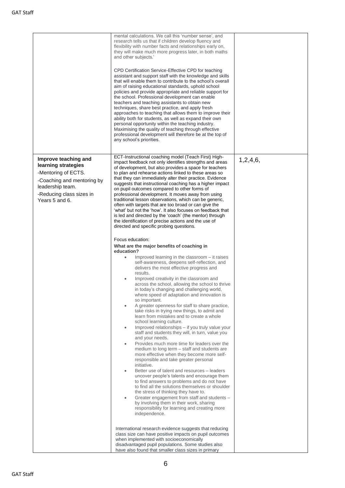|                                                                                                                                                                    | mental calculations. We call this 'number sense', and<br>research tells us that if children develop fluency and<br>flexibility with number facts and relationships early on,<br>they will make much more progress later, in both maths<br>and other subjects.'<br>CPD Certification Service-Effective CPD for teaching<br>assistant and support staff with the knowledge and skills<br>that will enable them to contribute to the school's overall<br>aim of raising educational standards, uphold school<br>policies and provide appropriate and reliable support for<br>the school. Professional development can enable<br>teachers and teaching assistants to obtain new<br>techniques, share best practice, and apply fresh<br>approaches to teaching that allows them to improve their<br>ability both for students, as well as expand their own<br>personal opportunity within the teaching industry.<br>Maximising the quality of teaching through effective<br>professional development will therefore be at the top of<br>any school's priorities.                                                                                                                                                                                                                                                                                                                                                                                                                                                                                                                                                                                                                                                                                                                                                                                                                                                                                                                                                                                                                                                                                                                                                                                                                                                                                                                                      |          |
|--------------------------------------------------------------------------------------------------------------------------------------------------------------------|--------------------------------------------------------------------------------------------------------------------------------------------------------------------------------------------------------------------------------------------------------------------------------------------------------------------------------------------------------------------------------------------------------------------------------------------------------------------------------------------------------------------------------------------------------------------------------------------------------------------------------------------------------------------------------------------------------------------------------------------------------------------------------------------------------------------------------------------------------------------------------------------------------------------------------------------------------------------------------------------------------------------------------------------------------------------------------------------------------------------------------------------------------------------------------------------------------------------------------------------------------------------------------------------------------------------------------------------------------------------------------------------------------------------------------------------------------------------------------------------------------------------------------------------------------------------------------------------------------------------------------------------------------------------------------------------------------------------------------------------------------------------------------------------------------------------------------------------------------------------------------------------------------------------------------------------------------------------------------------------------------------------------------------------------------------------------------------------------------------------------------------------------------------------------------------------------------------------------------------------------------------------------------------------------------------------------------------------------------------------------------------------------|----------|
| Improve teaching and<br>learning strategies<br>-Mentoring of ECTS.<br>-Coaching and mentoring by<br>leadership team.<br>-Reducing class sizes in<br>Years 5 and 6. | ECT-Instructional coaching model (Teach First) High-<br>impact feedback not only identifies strengths and areas<br>of development, but also provides a space for teachers<br>to plan and rehearse actions linked to these areas so<br>that they can immediately alter their practice. Evidence<br>suggests that instructional coaching has a higher impact<br>on pupil outcomes compared to other forms of<br>professional development. It moves away from using<br>traditional lesson observations, which can be generic,<br>often with targets that are too broad or can give the<br>'what' but not the 'how'. It also focuses on feedback that<br>is led and directed by the 'coach' (the mentor) through<br>the identification of precise actions and the use of<br>directed and specific probing questions.<br>Focus education:<br>What are the major benefits of coaching in<br>education?<br>Improved learning in the classroom - it raises<br>$\bullet$<br>self-awareness, deepens self-reflection, and<br>delivers the most effective progress and<br>results.<br>Improved creativity in the classroom and<br>across the school, allowing the school to thrive<br>in today's changing and challenging world,<br>where speed of adaptation and innovation is<br>so important.<br>A greater openness for staff to share practice,<br>$\bullet$<br>take risks in trying new things, to admit and<br>learn from mistakes and to create a whole<br>school learning culture.<br>Improved relationships - if you truly value your<br>$\bullet$<br>staff and students they will, in turn, value you<br>and your needs.<br>Provides much more time for leaders over the<br>$\bullet$<br>medium to long term - staff and students are<br>more effective when they become more self-<br>responsible and take greater personal<br>initiative.<br>Better use of talent and resources - leaders<br>$\bullet$<br>uncover people's talents and encourage them<br>to find answers to problems and do not have<br>to find all the solutions themselves or shoulder<br>the stress of thinking they have to.<br>Greater engagement from staff and students -<br>$\bullet$<br>by involving them in their work, sharing<br>responsibility for learning and creating more<br>independence.<br>International research evidence suggests that reducing<br>class size can have positive impacts on pupil outcomes | 1,2,4,6, |
|                                                                                                                                                                    | when implemented with socioeconomically<br>disadvantaged pupil populations. Some studies also<br>have also found that smaller class sizes in primary                                                                                                                                                                                                                                                                                                                                                                                                                                                                                                                                                                                                                                                                                                                                                                                                                                                                                                                                                                                                                                                                                                                                                                                                                                                                                                                                                                                                                                                                                                                                                                                                                                                                                                                                                                                                                                                                                                                                                                                                                                                                                                                                                                                                                                             |          |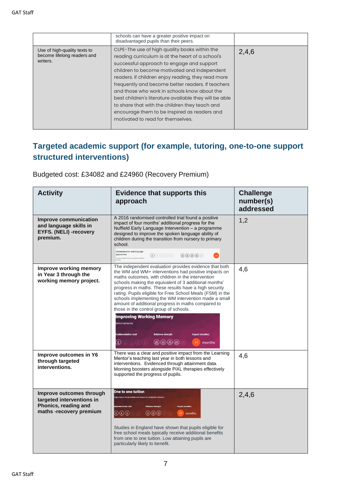|                                                                         | schools can have a greater positive impact on<br>disadvantaged pupils than their peers.                                                                                                                                                                                                                                                                                                                                                                                                                                                                    |       |
|-------------------------------------------------------------------------|------------------------------------------------------------------------------------------------------------------------------------------------------------------------------------------------------------------------------------------------------------------------------------------------------------------------------------------------------------------------------------------------------------------------------------------------------------------------------------------------------------------------------------------------------------|-------|
| Use of high-quality texts to<br>become lifelong readers and<br>writers. | CLPE-The use of high quality books within the<br>reading curriculum is at the heart of a school's<br>successful approach to engage and support<br>children to become motivated and independent<br>readers. If children enjoy reading, they read more<br>frequently and become better readers. If teachers<br>and those who work in schools know about the<br>best children's literature available they will be able<br>to share that with the children they teach and<br>encourage them to be inspired as readers and<br>motivated to read for themselves. | 2,4,6 |

#### **Targeted academic support (for example, tutoring, one-to-one support structured interventions)**

Budgeted cost: £34082 and £24960 (Recovery Premium)

| <b>Activity</b>                                                                                          | <b>Evidence that supports this</b><br>approach                                                                                                                                                                                                                                                                                                                                                                                                                                                                                                                                                                                                                                                                                                                                                                                                                                                                                                                                                                               | <b>Challenge</b><br>number(s)<br>addressed |
|----------------------------------------------------------------------------------------------------------|------------------------------------------------------------------------------------------------------------------------------------------------------------------------------------------------------------------------------------------------------------------------------------------------------------------------------------------------------------------------------------------------------------------------------------------------------------------------------------------------------------------------------------------------------------------------------------------------------------------------------------------------------------------------------------------------------------------------------------------------------------------------------------------------------------------------------------------------------------------------------------------------------------------------------------------------------------------------------------------------------------------------------|--------------------------------------------|
| Improve communication<br>and language skills in<br><b>EYFS. (NELI) -recovery</b><br>premium.             | A 2016 randomised controlled trial found a positive<br>impact of four months' additional progress for the<br>Nuffield Early Language Intervention - a programme<br>designed to improve the spoken language ability of<br>children during the transition from nursery to primary<br>school.<br>Communication and language<br>approaches<br>$\textcircled{\small{f}}\left(\begin{matrix}E\end{matrix}\right)\left(\begin{matrix}E\end{matrix}\right)\left(\begin{matrix}E\end{matrix}\right)\left(\begin{matrix}E\end{matrix}\right)\\ \textcircled{\small{f}}\left(\begin{matrix}E\end{matrix}\right)\left(\begin{matrix}E\end{matrix}\right)\left(\begin{matrix}E\end{matrix}\right)\\ \textcircled{\small{f}}\left(\begin{matrix}E\end{matrix}\right)\left(\begin{matrix}E\end{matrix}\right)\left(\begin{matrix}E\end{matrix}\right)\left(\begin{matrix}E\end{matrix}\right)\\ \textcircled{\small{f}}\left(\begin{matrix}E\end{matrix}\right)\left(\begin{matrix}E\end$<br>$\circledcirc\circledcirc\circledcirc$<br>$+6$ | 1,2                                        |
| Improve working memory<br>in Year 3 through the<br>working memory project.                               | The independent evaluation provides evidence that both<br>the WM and WM+ interventions had positive impacts on<br>maths outcomes, with children in the intervention<br>schools making the equivalent of 3 additional months'<br>progress in maths. These results have a high security<br>rating. Pupils eligible for Free School Meals (FSM) in the<br>schools implementing the WM intervention made a small<br>amount of additional progress in maths compared to<br>those in the control group of schools.<br><b>Improving Working Memory</b><br><b>Oxford University</b><br>mplementation cost<br><b>Evidence strength</b><br>Impact (months)<br>$\textbf{(E)}\textcolor{black}{\textbf{(E)}}\textcolor{black}{\textbf{(E)}}\textcolor{black}{\textbf{(E)}}\textcolor{black}{\textbf{(E)}}$<br>$\circledcirc \circledcirc \circledcirc$<br>$+3$<br>months                                                                                                                                                                 | 4,6                                        |
| Improve outcomes in Y6<br>through targeted<br>interventions.                                             | There was a clear and positive impact from the Learning<br>Mentor's teaching last year in both lessons and<br>interventions. Evidenced through attainment data.<br>Morning boosters alongside PiXL therapies effectively<br>supported the progress of pupils.                                                                                                                                                                                                                                                                                                                                                                                                                                                                                                                                                                                                                                                                                                                                                                | 4,6                                        |
| Improve outcomes through<br>targeted interventions in<br>Phonics, reading and<br>maths -recovery premium | <b>One to one tuition</b><br>ligh impact for moderate cost based on moderate<br><b>Evidence strength</b><br>$\textcircled{\tiny{1}}$<br>$\circledcirc\circledcirc$<br>45<br>months<br>Studies in England have shown that pupils eligible for<br>free school meals typically receive additional benefits<br>from one to one tuition. Low attaining pupils are<br>particularly likely to benefit.                                                                                                                                                                                                                                                                                                                                                                                                                                                                                                                                                                                                                              | 2,4,6                                      |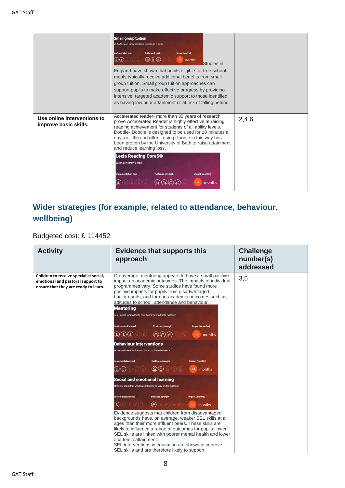|                                                      | <b>Small group tuition</b><br>Moderate impact for low cost based on moderate evidence<br><b>Evidence strength</b><br>$\textcircled{\scriptsize{a}}$ $\textcircled{\scriptsize{b}}$<br>$\mathcal{L}(\mathbf{f})$<br>months<br>Studies in<br>England have shown that pupils eligible for free school<br>meals typically receive additional benefits from small<br>group tuition. Small group tuition approaches can<br>support pupils to make effective progress by providing<br>intensive, targeted academic support to those identified<br>as having low prior attainment or at risk of falling behind. |       |
|------------------------------------------------------|---------------------------------------------------------------------------------------------------------------------------------------------------------------------------------------------------------------------------------------------------------------------------------------------------------------------------------------------------------------------------------------------------------------------------------------------------------------------------------------------------------------------------------------------------------------------------------------------------------|-------|
| Use online interventions to<br>improve basic skills. | Accelerated reader- more than 30 years of research<br>prove Accelerated Reader is highly effective at raising<br>reading achievement for students of all ability levels.<br>Doodle-Doodle is designed to be used for 10 minutes a<br>day, or 'little and often', using Doodle in this way has<br>been proven by the University of Bath to raise attainment<br>and reduce learning loss.<br>Lexia Reading Core5®<br><b>Queen's University Belfast</b><br><b>Implementation cost</b><br>Impact (months)<br><b>Evidence strength</b><br>ί£,<br>months                                                      | 2,4,6 |

#### **Wider strategies (for example, related to attendance, behaviour, wellbeing)**

Budgeted cost: £ 114452

| <b>Activity</b>                                                                                                     | <b>Evidence that supports this</b><br>approach                                                                                                                                                                                                                                                                                                                                                                                   | <b>Challenge</b><br>number(s)<br>addressed |
|---------------------------------------------------------------------------------------------------------------------|----------------------------------------------------------------------------------------------------------------------------------------------------------------------------------------------------------------------------------------------------------------------------------------------------------------------------------------------------------------------------------------------------------------------------------|--------------------------------------------|
| Children to receive specialist social,<br>emotional and pastoral support to<br>ensure that they are ready to learn. | On average, mentoring appears to have a small positive<br>impact on academic outcomes. The impacts of individual<br>programmes vary. Some studies have found more<br>positive impacts for pupils from disadvantaged<br>backgrounds, and for non-academic outcomes such as<br>attitudes to school, attendance and behaviour.<br><b>Mentoring</b><br>Low impact for moderate cost based on moderate evidence                       | 3,5                                        |
|                                                                                                                     | <b>Implementation cost</b><br><b>Evidence strength</b><br><b>Impact (months)</b><br>கை<br>$(\texttt{f})(\texttt{f})(\texttt{f})$<br>months                                                                                                                                                                                                                                                                                       |                                            |
|                                                                                                                     | <b>Behaviour interventions</b><br>Moderate impact for low cost based on limited evidence                                                                                                                                                                                                                                                                                                                                         |                                            |
|                                                                                                                     | <b>Evidence strength</b><br>Impact (months)<br><b>Implementation cost</b><br>$\mathcal{L}(\mathfrak{g})$<br>(f)(f)<br>E(E)<br>$\circledA)(\circledA)(\circledA)$<br>months                                                                                                                                                                                                                                                       |                                            |
|                                                                                                                     | <b>Social and emotional learning</b><br>Moderate impact for very low cost based on very limited evidence                                                                                                                                                                                                                                                                                                                         |                                            |
|                                                                                                                     | <b>Implementation cost</b><br><b>Evidence strength</b><br><b>Impact (months)</b><br>(A)<br>$(\mathtt{f})$<br>E(E(E))<br>(ക) (ക) (ക) (ക)<br>$+4$<br>months                                                                                                                                                                                                                                                                        |                                            |
|                                                                                                                     | Evidence suggests that children from disadvantaged<br>backgrounds have, on average, weaker SEL skills at all<br>ages than their more affluent peers. These skills are<br>likely to influence a range of outcomes for pupils: lower<br>SEL skills are linked with poorer mental health and lower<br>academic attainment.<br>SEL interventions in education are shown to improve<br>SEL skills and are therefore likely to support |                                            |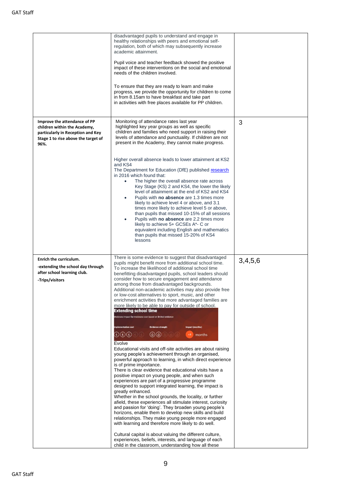|                                                                                                                                                  | disadvantaged pupils to understand and engage in<br>healthy relationships with peers and emotional self-<br>regulation, both of which may subsequently increase<br>academic attainment.                                                                                                                                                                                                                                                                                                                                                                                                                                                                                                                                                                                                                                                                                                                                                                                                                                                                                                                                                                                                                                                                                                                                                                                                                                                                                                                                                                                                                                                                                                                                                                                                                                                                                                                                                                                                                                                                                                                                                                                                                                                                                                                                                                                                                                                                                                                                                                                                                                                       |         |
|--------------------------------------------------------------------------------------------------------------------------------------------------|-----------------------------------------------------------------------------------------------------------------------------------------------------------------------------------------------------------------------------------------------------------------------------------------------------------------------------------------------------------------------------------------------------------------------------------------------------------------------------------------------------------------------------------------------------------------------------------------------------------------------------------------------------------------------------------------------------------------------------------------------------------------------------------------------------------------------------------------------------------------------------------------------------------------------------------------------------------------------------------------------------------------------------------------------------------------------------------------------------------------------------------------------------------------------------------------------------------------------------------------------------------------------------------------------------------------------------------------------------------------------------------------------------------------------------------------------------------------------------------------------------------------------------------------------------------------------------------------------------------------------------------------------------------------------------------------------------------------------------------------------------------------------------------------------------------------------------------------------------------------------------------------------------------------------------------------------------------------------------------------------------------------------------------------------------------------------------------------------------------------------------------------------------------------------------------------------------------------------------------------------------------------------------------------------------------------------------------------------------------------------------------------------------------------------------------------------------------------------------------------------------------------------------------------------------------------------------------------------------------------------------------------------|---------|
|                                                                                                                                                  | Pupil voice and teacher feedback showed the positive<br>impact of these interventions on the social and emotional<br>needs of the children involved.                                                                                                                                                                                                                                                                                                                                                                                                                                                                                                                                                                                                                                                                                                                                                                                                                                                                                                                                                                                                                                                                                                                                                                                                                                                                                                                                                                                                                                                                                                                                                                                                                                                                                                                                                                                                                                                                                                                                                                                                                                                                                                                                                                                                                                                                                                                                                                                                                                                                                          |         |
|                                                                                                                                                  | To ensure that they are ready to learn and make<br>progress, we provide the opportunity for children to come<br>in from 8.15am to have breakfast and take part<br>in activities with free places available for PP children.                                                                                                                                                                                                                                                                                                                                                                                                                                                                                                                                                                                                                                                                                                                                                                                                                                                                                                                                                                                                                                                                                                                                                                                                                                                                                                                                                                                                                                                                                                                                                                                                                                                                                                                                                                                                                                                                                                                                                                                                                                                                                                                                                                                                                                                                                                                                                                                                                   |         |
| Improve the attendance of PP<br>children within the Academy,<br>particularly in Reception and Key<br>Stage 1 to rise above the target of<br>96%. | Monitoring of attendance rates last year<br>highlighted key year groups as well as specific<br>children and families who need support in raising their<br>levels of attendance and punctuality. If children are not<br>present in the Academy, they cannot make progress.                                                                                                                                                                                                                                                                                                                                                                                                                                                                                                                                                                                                                                                                                                                                                                                                                                                                                                                                                                                                                                                                                                                                                                                                                                                                                                                                                                                                                                                                                                                                                                                                                                                                                                                                                                                                                                                                                                                                                                                                                                                                                                                                                                                                                                                                                                                                                                     | 3       |
|                                                                                                                                                  | Higher overall absence leads to lower attainment at KS2<br>and KS4<br>The Department for Education (DfE) published research<br>in 2016 which found that:<br>The higher the overall absence rate across<br>Key Stage (KS) 2 and KS4, the lower the likely<br>level of attainment at the end of KS2 and KS4<br>Pupils with no absence are 1.3 times more<br>$\bullet$<br>likely to achieve level 4 or above, and 3.1<br>times more likely to achieve level 5 or above,<br>than pupils that missed 10-15% of all sessions<br>Pupils with no absence are 2.2 times more<br>likely to achieve 5+ GCSEs A*- C or<br>equivalent including English and mathematics<br>than pupils that missed 15-20% of KS4<br>lessons                                                                                                                                                                                                                                                                                                                                                                                                                                                                                                                                                                                                                                                                                                                                                                                                                                                                                                                                                                                                                                                                                                                                                                                                                                                                                                                                                                                                                                                                                                                                                                                                                                                                                                                                                                                                                                                                                                                                |         |
| <b>Enrich the curriculum.</b><br>-extending the school day through<br>after school learning club.<br>-Trips/visitors                             | There is some evidence to suggest that disadvantaged<br>pupils might benefit more from additional school time.<br>To increase the likelihood of additional school time<br>benefitting disadvantaged pupils, school leaders should<br>consider how to secure engagement and attendance<br>among those from disadvantaged backgrounds.<br>Additional non-academic activities may also provide free<br>or low-cost alternatives to sport, music, and other<br>enrichment activities that more advantaged families are<br>more likely to be able to pay for outside of school.<br><b>Extending school time</b><br>Moderate impact for moderate cost based on limited evidenc<br>mplementation cost<br><b>Evidence strength</b><br><b>Impact (months)</b><br>$\textcircled{\textcircled{\tiny{f}}}\textcircled{\textcircled{\tiny{f}}}\textcircled{\textcircled{\tiny{f}}}\textcircled{\textcircled{\tiny{f}}}\textcircled{\textcircled{\tiny{f}}}\textcircled{\textcircled{\tiny{f}}}\textcircled{\textcircled{\tiny{f}}}\textcircled{\textcircled{\tiny{f}}}\textcircled{\textcircled{\tiny{f}}}\textcircled{\textcircled{\tiny{f}}}\textcircled{\textcircled{\tiny{f}}}\textcircled{\textcircled{\tiny{f}}}\textcircled{\textcircled{\tiny{f}}}\textcircled{\textcircled{\tiny{f}}}\textcircled{\textcircled{\tiny{f}}}\textcircled{\textcircled{\tiny{f}}}\textcircled{\textcircled{\tiny{f$<br>$\bigcirc\hspace{-0.5mm}\bigcirc\hspace{-0.5mm}\bigcirc\hspace{-0.5mm}\bigcirc\hspace{-0.5mm}\bigcirc\hspace{-0.5mm}\bigcirc\hspace{-0.5mm}\bigcirc\hspace{-0.5mm}\bigcirc\hspace{-0.5mm}\bigcirc\hspace{-0.5mm}\bigcirc$<br>+3 months<br>Evolve<br>Educational visits and off-site activities are about raising<br>young people's achievement through an organised,<br>powerful approach to learning, in which direct experience<br>is of prime importance.<br>There is clear evidence that educational visits have a<br>positive impact on young people, and when such<br>experiences are part of a progressive programme<br>designed to support integrated learning, the impact is<br>greatly enhanced.<br>Whether in the school grounds, the locality, or further<br>afield, these experiences all stimulate interest, curiosity<br>and passion for 'doing'. They broaden young people's<br>horizons, enable them to develop new skills and build<br>relationships. They make young people more engaged<br>with learning and therefore more likely to do well.<br>Cultural capital is about valuing the different culture,<br>experiences, beliefs, interests, and language of each<br>child in the classroom, understanding how all these | 3,4,5,6 |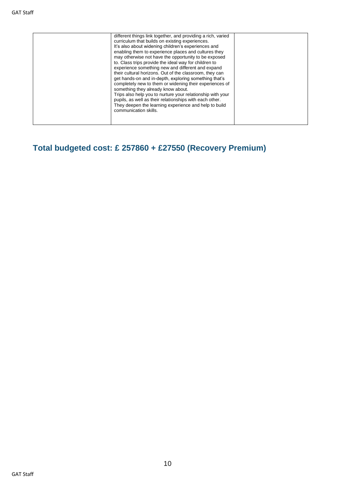## **Total budgeted cost: £ 257860 + £27550 (Recovery Premium)**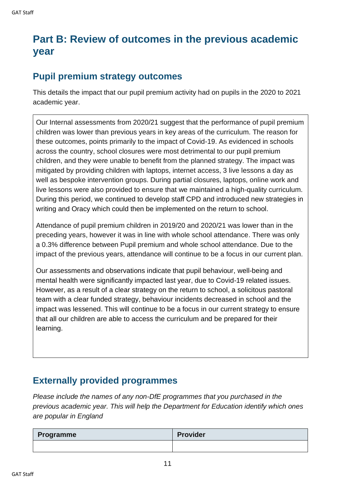# **Part B: Review of outcomes in the previous academic year**

#### **Pupil premium strategy outcomes**

This details the impact that our pupil premium activity had on pupils in the 2020 to 2021 academic year.

Our Internal assessments from 2020/21 suggest that the performance of pupil premium children was lower than previous years in key areas of the curriculum. The reason for these outcomes, points primarily to the impact of Covid-19. As evidenced in schools across the country, school closures were most detrimental to our pupil premium children, and they were unable to benefit from the planned strategy. The impact was mitigated by providing children with laptops, internet access, 3 live lessons a day as well as bespoke intervention groups. During partial closures, laptops, online work and live lessons were also provided to ensure that we maintained a high-quality curriculum. During this period, we continued to develop staff CPD and introduced new strategies in writing and Oracy which could then be implemented on the return to school.

Attendance of pupil premium children in 2019/20 and 2020/21 was lower than in the preceding years, however it was in line with whole school attendance. There was only a 0.3% difference between Pupil premium and whole school attendance. Due to the impact of the previous years, attendance will continue to be a focus in our current plan.

Our assessments and observations indicate that pupil behaviour, well-being and mental health were significantly impacted last year, due to Covid-19 related issues. However, as a result of a clear strategy on the return to school, a solicitous pastoral team with a clear funded strategy, behaviour incidents decreased in school and the impact was lessened. This will continue to be a focus in our current strategy to ensure that all our children are able to access the curriculum and be prepared for their learning.

### **Externally provided programmes**

*Please include the names of any non-DfE programmes that you purchased in the previous academic year. This will help the Department for Education identify which ones are popular in England*

| Programme | <b>Provider</b> |
|-----------|-----------------|
|           |                 |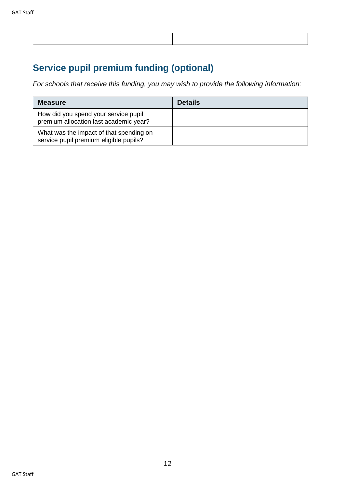## **Service pupil premium funding (optional)**

*For schools that receive this funding, you may wish to provide the following information:* 

| <b>Measure</b>                                                                    | <b>Details</b> |
|-----------------------------------------------------------------------------------|----------------|
| How did you spend your service pupil<br>premium allocation last academic year?    |                |
| What was the impact of that spending on<br>service pupil premium eligible pupils? |                |